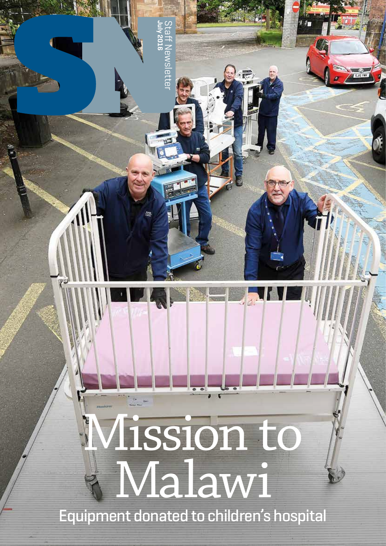# Mission to Malawi

**July 2016**

Staff Newsletter

**BWSIBTTE** 

Equipment donated to children's hospital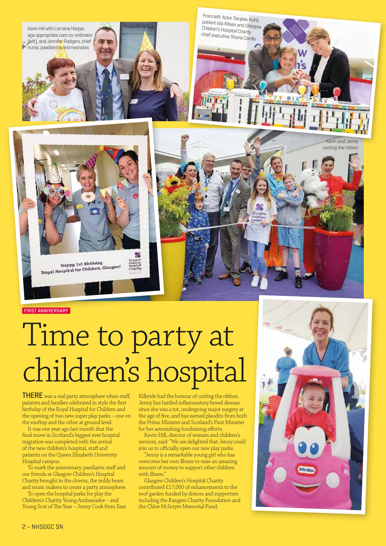

From left: Actor Sanjeev Kohli, patient Isla Aitken and Glasgow Children's Hospital Charity chief executive Shona Cardle





**FIRST ANNIVERSARY** 

# Time to party at children's hospital

THERE was a real party atmosphere when staff, patients and families celebrated in style the first birthday of the Royal Hospital for Children and the opening of two new super play parks – one on the rooftop and the other at ground level.

It was one year ago last month that the final move in Scotland's biggest ever hospital migration was completed with the arrival of the new children's hospital, staff and patients on the Queen Elizabeth University Hospital campus.

To mark the anniversary, paediatric staff and our friends at Glasgow Children's Hospital Charity brought in the clowns, the teddy bears and music makers to create a party atmosphere.

To open the hospital parks for play the Children's Charity Young Ambassador – and Young Scot of The Year – Jenny Cook from East Kilbride had the honour of cutting the ribbon. Jenny has battled inflammatory bowel disease since she was a tot, undergoing major surgery at the age of five, and has earned plaudits from both the Prime Minister and Scotland's First Minister for her astonishing fundraising efforts.

Kevin Hill, director of women and children's services, said: "We are delighted that Jenny could join us to officially open our new play parks.

"Jenny is a remarkable young girl who has overcome her own illness to raise an amazing amount of money to support other children with illness.

Glasgow Children's Hospital Charity contributed £17,000 of enhancements to the roof garden funded by donors and supporters including the Rangers Charity Foundation and the Chloe McIntyre Memorial Fund.

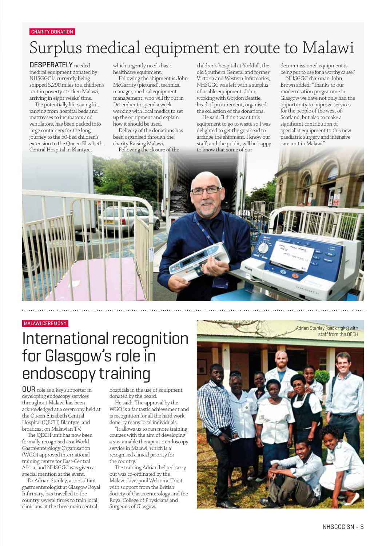#### CHARITY DONATION

# Surplus medical equipment en route to Malawi

DESPERATELY needed medical equipment donated by NHSGGC is currently being shipped 5,290 miles to a children's unit in poverty stricken Malawi, arriving in eight weeks' time.

The potentially life-saving kit, ranging from hospital beds and mattresses to incubators and ventilators, has been packed into large containers for the long journey to the 50-bed children's extension to the Queen Elizabeth Central Hospital in Blantyre,

which urgently needs basic healthcare equipment.

Following the shipment is John McGarrity (pictured), technical manager, medical equipment management, who will fly out in December to spend a week working with local medics to set up the equipment and explain how it should be used.

Delivery of the donations has been organised through the charity Raising Malawi.

Following the closure of the

children's hospital at Yorkhill, the old Southern General and former Victoria and Western Infirmaries, NHSGGC was left with a surplus of usable equipment. John, working with Gordon Beattie, head of procurement, organised the collection of the donations.

He said: "I didn't want this equipment to go to waste so I was delighted to get the go-ahead to arrange the shipment. I know our staff, and the public, will be happy to know that some of our

decommissioned equipment is being put to use for a worthy cause."

NHSGGC chairman John Brown added: "Thanks to our modernisation programme in Glasgow we have not only had the opportunity to improve services for the people of the west of Scotland, but also to make a significant contribution of specialist equipment to this new paediatric surgery and intensive care unit in Malawi."



#### MALAWI CEREMONY

## International recognition for Glasgow's role in endoscopy training

OUR role as a key supporter in developing endoscopy services throughout Malawi has been acknowledged at a ceremony held at the Queen Elizabeth Central Hospital (QECH) Blantyre, and broadcast on Malawian TV.

The QECH unit has now been formally recognised as a World Gastroenterology Organisation (WGO) approved international training centre for East-Central Africa, and NHSGGC was given a special mention at the event.

Dr Adrian Stanley, a consultant gastroenterologist at Glasgow Royal Infirmary, has travelled to the country several times to train local clinicians at the three main central

hospitals in the use of equipment donated by the board.

He said: "The approval by the WGO is a fantastic achievement and is recognition for all the hard work done by many local individuals.

"It allows us to run more training courses with the aim of developing a sustainable therapeutic endoscopy service in Malawi, which is a recognised clinical priority for the country."

The training Adrian helped carry out was co-ordinated by the Malawi-Liverpool Welcome Trust, with support from the British Society of Gastroenterology and the Royal College of Physicians and Surgeons of Glasgow.



Adrian Stanley (back right) with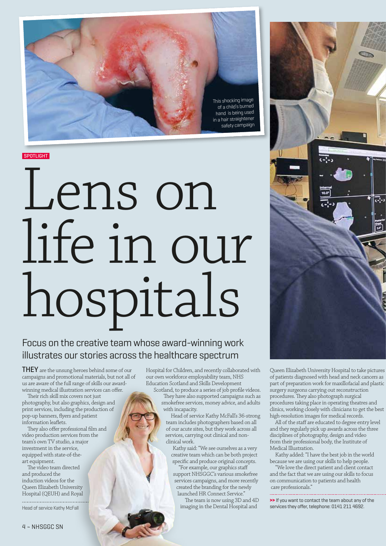

**SPOTLIGHT** 

# Lens on life in our hospitals

### Focus on the creative team whose award-winning work illustrates our stories across the healthcare spectrum

**THEY** are the unsung heroes behind some of our campaigns and promotional materials, but not all of us are aware of the full range of skills our awardwinning medical illustration services can offer.

Their rich skill mix covers not just photography, but also graphics, design and print services, including the production of pop-up banners, flyers and patient information leaflets.

They also offer professional film and video production services from the team's own TV studio, a major investment in the service, equipped with state-of-theart equipment.

The video team directed and produced the induction videos for the Queen Elizabeth University Hospital (QEUH) and Royal

Head of service Kathy McFall

Hospital for Children, and recently collaborated with our own workforce employability team, NHS Education Scotland and Skills Development Scotland, to produce a series of job profile videos.

They have also supported campaigns such as smokefree services, money advice, and adults with incapacity.

Head of service Kathy McFall's 36-strong team includes photographers based on all of our acute sites, but they work across all services, carrying out clinical and nonclinical work.

Kathy said: "We see ourselves as a very creative team which can be both project specific and produce original concepts.

"For example, our graphics staff support NHSGGC's various smokefree services campaigns, and more recently created the branding for the newly launched HR Connect Service."

The team is now using 3D and 4D imaging in the Dental Hospital and



Queen Elizabeth University Hospital to take pictures of patients diagnosed with head and neck cancers as part of preparation work for maxillofacial and plastic surgery surgeons carrying out reconstruction procedures. They also photograph surgical procedures taking place in operating theatres and clinics, working closely with clinicians to get the best high-resolution images for medical records.

All of the staff are educated to degree entry level and they regularly pick up awards across the three disciplines of photography, design and video from their professional body, the Institute of Medical Illustration.

Kathy added: "I have the best job in the world because we are using our skills to help people.

"We love the direct patient and client contact and the fact that we are using our skills to focus on communication to patients and health care professionals."

**>>** If you want to contact the team about any of the services they offer, telephone: 0141 211 4692.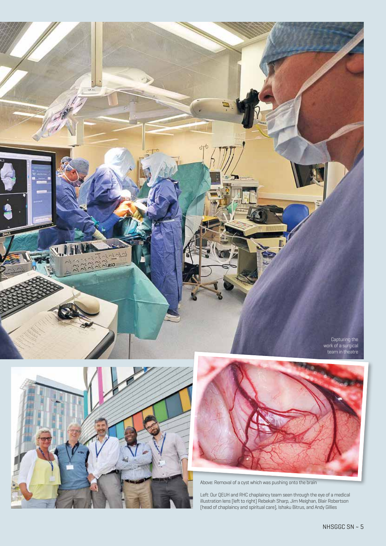





Above: Removal of a cyst which was pushing onto the brain

Left: Our QEUH and RHC chaplaincy team seen through the eye of a medical illustration lens (left to right) Rebekah Sharp, Jim Meighan, Blair Robertson (head of chaplaincy and spiritual care), Ishaku Bitrus, and Andy Gillies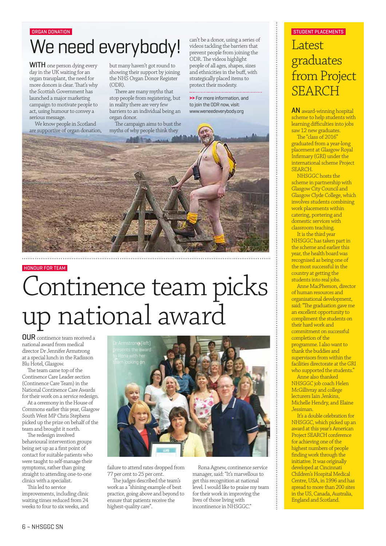# We need everybody!

WITH one person dying every day in the UK waiting for an organ transplant, the need for more donors is clear. That's why the Scottish Government has launched a major marketing campaign to motivate people to act, using humour to convey a serious message.

We know people in Scotland are supportive of organ donation, but many haven't got round to showing their support by joining the NHS Organ Donor Register (ODR).

There are many myths that stop people from registering, but in reality there are very few barriers to an individual being an organ donor.

The campaign aims to bust the myths of why people think they

can't be a donor, using a series of videos tackling the barriers that prevent people from joining the ODR. The videos highlight people of all ages, shapes, sizes and ethnicities in the buff, with strategically placed items to protect their modesty.

**>>** For more information, and

to join the ODR now, visit:



#### HONOUR FOR TEAM

# Continence team picks up national award

OUR continence team received a national award from medical director Dr Jennifer Armstrong at a special lunch in the Radisson Blu Hotel, Glasgow.

The team came top of the Continence Care Leader section (Continence Care Team) in the National Continence Care Awards for their work on a service redesign.

At a ceremony in the House of Commons earlier this year, Glasgow South West MP Chris Stephens picked up the prize on behalf of the team and brought it north.

The redesign involved behavioural intervention groups being set up as a first point of contact for suitable patients who were taught to self-manage their symptoms, rather than going straight to attending one-to-one clinics with a specialist.

This led to service improvements, including clinic waiting times reduced from 24 weeks to four to six weeks, and



failure to attend rates dropped from 77 per cent to 25 per cent.

The judges described the team's work as a "shining example of best practice, going above and beyond to ensure that patients receive the highest-quality care".

Rona Agnew, continence service manager, said: "It's marvellous to get this recognition at national level. I would like to praise my team for their work in improving the lives of those living with incontinence in NHSGGC."

#### ORGAN DONATION AND RESERVE TO A STUDENT PLACEMENTS OF STUDENT PLACEMENTS OF STUDENT PLACEMENTS

## Latest graduates from Project SEARCH

scheme to help students with learning difficulties into jobs saw 12 new graduates.

The "class of 2016" graduated from a year-long placement at Glasgow Royal Infirmary (GRI) under the international scheme Project SEARCH.

NHSGGC hosts the scheme in partnership with Glasgow City Council and Glasgow Clyde College, which involves students combining work placements within catering, portering and domestic services with classroom teaching.

It is the third year NHSGGC has taken part in the scheme and earlier this year, the health board was recognised as being one of the most successful in the country at getting the students into real jobs.

Anne MacPherson, director of human resources and organisational development, said: "The graduation gave me an excellent opportunity to compliment the students on their hard work and commitment on successful completion of the programme. I also want to thank the buddies and supervisors from within the facilities directorate at the GRI who supported the students."

Anne also thanked NHSGGC job coach Helen McGillivray and college lecturers Iain Jenkins, Michelle Hendry, and Elaine Jessiman.

It's a double celebration for NHSGGC, which picked up an award at this year's American Project SEARCH conference for achieving one of the highest numbers of people finding work through the initiative. It was originally developed at Cincinnati Children's Hospital Medical Centre, USA, in 1996 and has spread to more than 200 sites in the US, Canada, Australia, England and Scotland.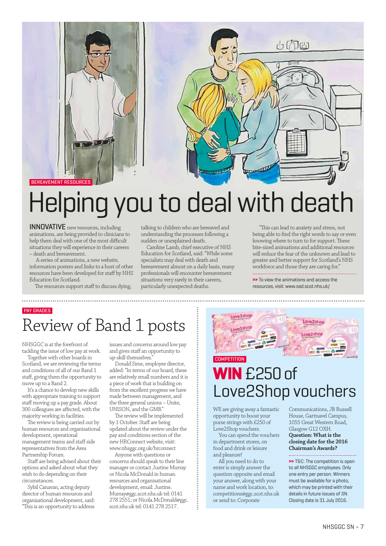

# Helping you to deal with death

INNOVATIVE new resources, including animations, are being provided to clinicians to help them deal with one of the most difficult situations they will experience in their careers – death and bereavement.

 A series of animations, a new website, information posters and links to a host of other resources have been developed for staff by NHS Education for Scotland.

The resources support staff to discuss dying,

talking to children who are bereaved and understanding the processes following a sudden or unexplained death.

Caroline Lamb, chief executive of NHS Education for Scotland, said: "While some specialists may deal with death and bereavement almost on a daily basis, many professionals will encounter bereavement situations very rarely in their careers, particularly unexpected deaths.

 "This can lead to anxiety and stress, not being able to find the right words to say or even knowing where to turn to for support. These bite-sized animations and additional resources will reduce the fear of the unknown and lead to greater and better support for Scotland's NHS workforce and those they are caring for."

**>>** To view the animations and access the resources, visit: www.sad.scot.nhs.uk/

## PAY GRADES Review of Band 1 posts

NHSGGC is at the forefront of tackling the issue of low pay at work.

Together with other boards in Scotland, we are reviewing the terms and conditions of all of our Band 1 staff, giving them the opportunity to move up to a Band 2.

It's a chance to develop new skills with appropriate training to support staff moving up a pay grade. About 300 colleagues are affected, with the majority working in facilities.

The review is being carried out by human resources and organisational development, operational management teams and staff side representatives from the Area Partnership Forum.

Staff are being advised about their options and asked about what they wish to do depending on their circumstances.

Sybil Canavan, acting deputy director of human resources and organisational development, said: "This is an opportunity to address issues and concerns around low pay and gives staff an opportunity to up-skill themselves.

Donald Sime, employee director, added: "In terms of our board, these are relatively small numbers and it is a piece of work that is building on from the excellent progress we have made between management, and the three general unions – Unite, UNISON, and the GMB."

The review will be implemented by 1 October. Staff are being updated about the review under the pay and conditions section of the new HRConnect website, visit: www.nhsggc.org.uk/hrconnect

Anyone with questions or concerns should speak to their line manager or contact Justine Murray or Nicola McDonald in human resources and organisational development, email: Justine. Murray@ggc.scot.nhs.uk tel: 0141 278 2551; or Nicola.McDonald@ggc. scot.nhs.uk tel: 0141 278 2517.



## **WIN** £250 of Love2Shop vouchers **COMPETITION**

WE are giving away a fantastic opportunity to boost your purse strings with £250 of Love2Shop vouchers.

You can spend the vouchers in department stores, on food and drink or leisure and pleasure!

All you need to do to enter is simply answer the question opposite and email your answer, along with your name and work location, to: competitions@ggc.scot.nhs.uk or send to: Corporate

Communications, JB Russell House, Gartnavel Campus, 1055 Great Western Road, Glasgow G12 OXH. **Question: What is the closing date for the 2016 Chairman's Awards?**

**Service Service >>** T&C: The competition is open to all NHSGGC employees. Only one entry per person. Winners must be available for a photo, which may be printed with their details in future issues of *SN*. Closing date is 31 July 2016.